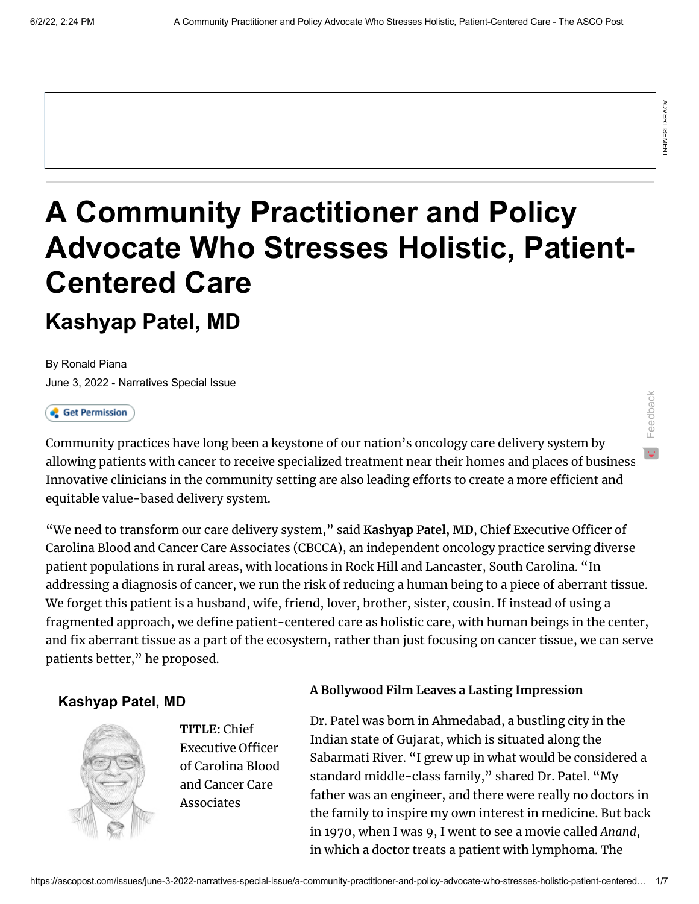Feedback

# **A Community Practitioner and Policy Advocate Who Stresses Holistic, Patient-Centered Care Kashyap Patel, MD**

[By Ronald Piana](https://www.ascopost.com/search-results/?q=Ronald+Piana) [June 3, 2022 - Narratives Special Issue](https://ascopost.com/issues/june-3-2022-narratives-special-issue/)

Community practices have long been a keystone of our nation's oncology care delivery system by allowing patients with cancer to receive specialized treatment near their homes and places of business. Innovative clinicians in the community setting are also leading efforts to create a more efficient and equitable value-based delivery system.

A Community Practitioner and Policy<br>
Centered Care<br>
Kashyap Patel, MD<br>
Sure Samples and Sure Sections and Sure Samples and Sure Samples and Sure Samples<br>
( $\epsilon$  externalises)<br>
Jane S. 2022 - Neraltowe Social-issues<br>
Jane S "We need to transform our care delivery system," said **Kashyap Patel, MD**, Chief Executive Officer of Carolina Blood and Cancer Care Associates (CBCCA), an independent oncology practice serving diverse patient populations in rural areas, with locations in Rock Hill and Lancaster, South Carolina. "In addressing a diagnosis of cancer, we run the risk of reducing a human being to a piece of aberrant tissue. We forget this patient is a husband, wife, friend, lover, brother, sister, cousin. If instead of using a fragmented approach, we define patient-centered care as holistic care, with human beings in the center, and fix aberrant tissue as a part of the ecosystem, rather than just focusing on cancer tissue, we can serve patients better," he proposed.

## **Kashyap Patel, MD**



**TITLE:** Chief Executive Officer of Carolina Blood and Cancer Care Associates

### **A Bollywood Film Leaves a Lasting Impression**

Dr. Patel was born in Ahmedabad, a bustling city in the Indian state of Gujarat, which is situated along the Sabarmati River. "I grew up in what would be considered a standard middle-class family," shared Dr. Patel. "My father was an engineer, and there were really no doctors in the family to inspire my own interest in medicine. But back in 1970, when I was 9, I went to see a movie called *Anand*, in which a doctor treats a patient with lymphoma. The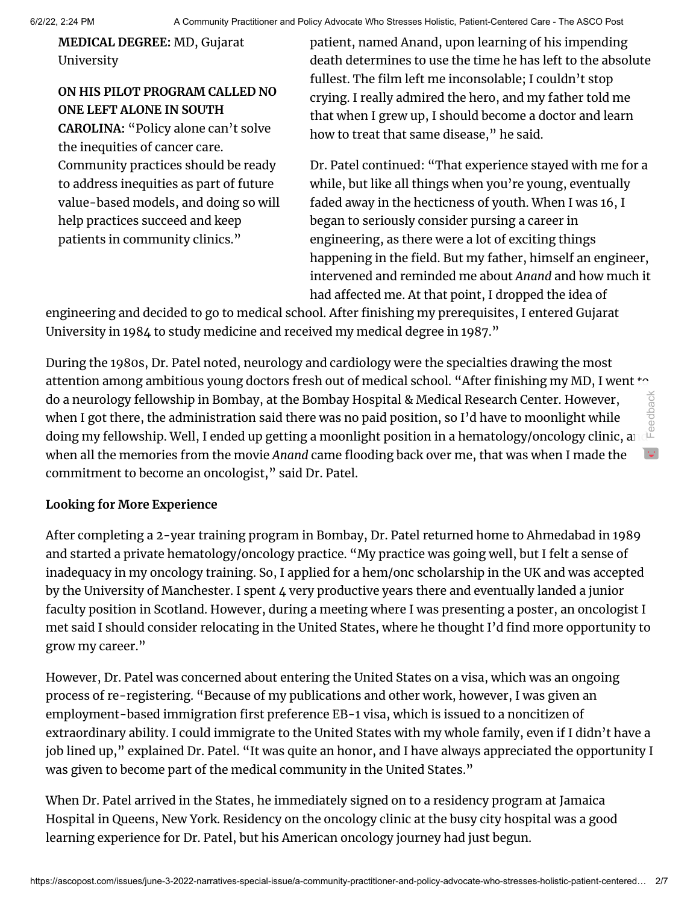**MEDICAL DEGREE:** MD, Gujarat University

# **ON HIS PILOT PROGRAM CALLED NO ONE LEFT ALONE IN SOUTH CAROLINA:** "Policy alone can't solve the inequities of cancer care. Community practices should be ready to address inequities as part of future value-based models, and doing so will help practices succeed and keep patients in community clinics."

patient, named Anand, upon learning of his impending death determines to use the time he has left to the absolute fullest. The film left me inconsolable; I couldn't stop crying. I really admired the hero, and my father told me that when I grew up, I should become a doctor and learn how to treat that same disease," he said.

Dr. Patel continued: "That experience stayed with me for a while, but like all things when you're young, eventually faded away in the hecticness of youth. When I was 16, I began to seriously consider pursing a career in engineering, as there were a lot of exciting things happening in the field. But my father, himself an engineer, intervened and reminded me about *Anand* and how much it had affected me. At that point, I dropped the idea of

engineering and decided to go to medical school. After finishing my prerequisites, I entered Gujarat University in 1984 to study medicine and received my medical degree in 1987."

During the 1980s, Dr. Patel noted, neurology and cardiology were the specialties drawing the most attention among ambitious young doctors fresh out of medical school. "After finishing my MD, I went to do a neurology fellowship in Bombay, at the Bombay Hospital & Medical Research Center. However, when I got there, the administration said there was no paid position, so I'd have to moonlight while doing my fellowship. Well, I ended up getting a moonlight position in a hematology/oncology clinic, and when all the memories from the movie *Anand* came flooding back over me, that was when I made the commitment to become an oncologist," said Dr. Patel. Feedback

#### **Looking for More Experience**

After completing a 2-year training program in Bombay, Dr. Patel returned home to Ahmedabad in 1989 and started a private hematology/oncology practice. "My practice was going well, but I felt a sense of inadequacy in my oncology training. So, I applied for a hem/onc scholarship in the UK and was accepted by the University of Manchester. I spent 4 very productive years there and eventually landed a junior faculty position in Scotland. However, during a meeting where I was presenting a poster, an oncologist I met said I should consider relocating in the United States, where he thought I'd find more opportunity to grow my career."

However, Dr. Patel was concerned about entering the United States on a visa, which was an ongoing process of re-registering. "Because of my publications and other work, however, I was given an employment-based immigration first preference EB-1 visa, which is issued to a noncitizen of extraordinary ability. I could immigrate to the United States with my whole family, even if I didn't have a job lined up," explained Dr. Patel. "It was quite an honor, and I have always appreciated the opportunity I was given to become part of the medical community in the United States."

When Dr. Patel arrived in the States, he immediately signed on to a residency program at Jamaica Hospital in Queens, New York. Residency on the oncology clinic at the busy city hospital was a good learning experience for Dr. Patel, but his American oncology journey had just begun.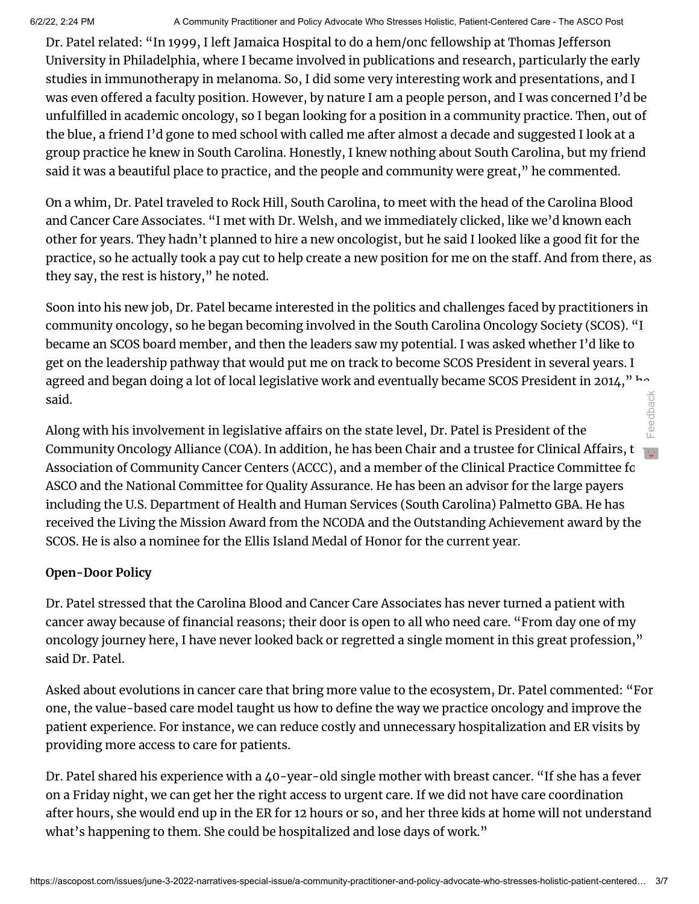Dr. Patel related: "In 1999, I left Jamaica Hospital to do a hem/onc fellowship at Thomas Jefferson University in Philadelphia, where I became involved in publications and research, particularly the early studies in immunotherapy in melanoma. So, I did some very interesting work and presentations, and I was even offered a faculty position. However, by nature I am a people person, and I was concerned I'd be unfulfilled in academic oncology, so I began looking for a position in a community practice. Then, out of the blue, a friend I'd gone to med school with called me after almost a decade and suggested I look at a group practice he knew in South Carolina. Honestly, I knew nothing about South Carolina, but my friend said it was a beautiful place to practice, and the people and community were great," he commented.

On a whim, Dr. Patel traveled to Rock Hill, South Carolina, to meet with the head of the Carolina Blood and Cancer Care Associates. "I met with Dr. Welsh, and we immediately clicked, like we'd known each other for years. They hadn't planned to hire a new oncologist, but he said I looked like a good fit for the practice, so he actually took a pay cut to help create a new position for me on the staff. And from there, as they say, the rest is history," he noted.

Soon into his new job, Dr. Patel became interested in the politics and challenges faced by practitioners in community oncology, so he began becoming involved in the South Carolina Oncology Society (SCOS). "I became an SCOS board member, and then the leaders saw my potential. I was asked whether I'd like to get on the leadership pathway that would put me on track to become SCOS President in several years. I agreed and began doing a lot of local legislative work and eventually became SCOS President in 2014," he said. Feedback

Along with his involvement in legislative affairs on the state level, Dr. Patel is President of the Community Oncology Alliance (COA). In addition, he has been Chair and a trustee for Clinical Affairs, the  $\ldots$ Association of Community Cancer Centers (ACCC), and a member of the Clinical Practice Committee for ASCO and the National Committee for Quality Assurance. He has been an advisor for the large payers including the U.S. Department of Health and Human Services (South Carolina) Palmetto GBA. He has received the Living the Mission Award from the NCODA and the Outstanding Achievement award by the SCOS. He is also a nominee for the Ellis Island Medal of Honor for the current year.

### **Open-Door Policy**

Dr. Patel stressed that the Carolina Blood and Cancer Care Associates has never turned a patient with cancer away because of financial reasons; their door is open to all who need care. "From day one of my oncology journey here, I have never looked back or regretted a single moment in this great profession," said Dr. Patel.

Asked about evolutions in cancer care that bring more value to the ecosystem, Dr. Patel commented: "For one, the value-based care model taught us how to define the way we practice oncology and improve the patient experience. For instance, we can reduce costly and unnecessary hospitalization and ER visits by providing more access to care for patients.

Dr. Patel shared his experience with a 40-year-old single mother with breast cancer. "If she has a fever on a Friday night, we can get her the right access to urgent care. If we did not have care coordination after hours, she would end up in the ER for 12 hours or so, and her three kids at home will not understand what's happening to them. She could be hospitalized and lose days of work."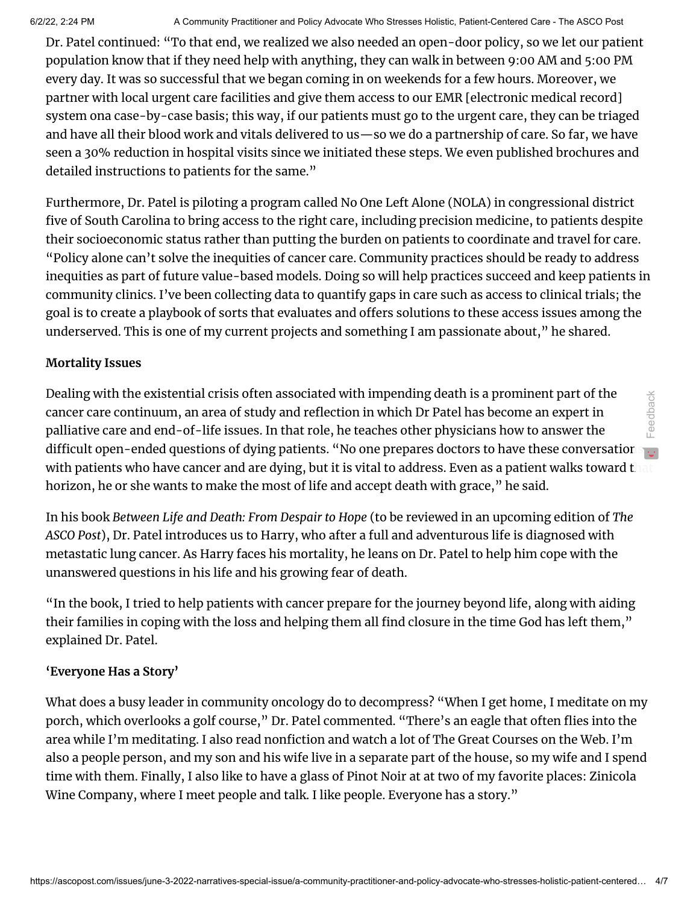Dr. Patel continued: "To that end, we realized we also needed an open-door policy, so we let our patient population know that if they need help with anything, they can walk in between 9:00 AM and 5:00 PM every day. It was so successful that we began coming in on weekends for a few hours. Moreover, we partner with local urgent care facilities and give them access to our EMR [electronic medical record] system ona case-by-case basis; this way, if our patients must go to the urgent care, they can be triaged and have all their blood work and vitals delivered to us—so we do a partnership of care. So far, we have seen a 30% reduction in hospital visits since we initiated these steps. We even published brochures and detailed instructions to patients for the same."

Furthermore, Dr. Patel is piloting a program called No One Left Alone (NOLA) in congressional district five of South Carolina to bring access to the right care, including precision medicine, to patients despite their socioeconomic status rather than putting the burden on patients to coordinate and travel for care. "Policy alone can't solve the inequities of cancer care. Community practices should be ready to address inequities as part of future value-based models. Doing so will help practices succeed and keep patients in community clinics. I've been collecting data to quantify gaps in care such as access to clinical trials; the goal is to create a playbook of sorts that evaluates and offers solutions to these access issues among the underserved. This is one of my current projects and something I am passionate about," he shared.

#### **Mortality Issues**

Dealing with the existential crisis often associated with impending death is a prominent part of the cancer care continuum, an area of study and reflection in which Dr Patel has become an expert in palliative care and end-of-life issues. In that role, he teaches other physicians how to answer the difficult open-ended questions of dying patients. "No one prepares doctors to have these conversations with patients who have cancer and are dying, but it is vital to address. Even as a patient walks toward that horizon, he or she wants to make the most of life and accept death with grace," he said. Feedback

In his book *Between Life and Death: From Despair to Hope* (to be reviewed in an upcoming edition of *The ASCO Post*), Dr. Patel introduces us to Harry, who after a full and adventurous life is diagnosed with metastatic lung cancer. As Harry faces his mortality, he leans on Dr. Patel to help him cope with the unanswered questions in his life and his growing fear of death.

"In the book, I tried to help patients with cancer prepare for the journey beyond life, along with aiding their families in coping with the loss and helping them all find closure in the time God has left them," explained Dr. Patel.

#### **'Everyone Has a Story'**

What does a busy leader in community oncology do to decompress? "When I get home, I meditate on my porch, which overlooks a golf course," Dr. Patel commented. "There's an eagle that often flies into the area while I'm meditating. I also read nonfiction and watch a lot of The Great Courses on the Web. I'm also a people person, and my son and his wife live in a separate part of the house, so my wife and I spend time with them. Finally, I also like to have a glass of Pinot Noir at at two of my favorite places: Zinicola Wine Company, where I meet people and talk. I like people. Everyone has a story."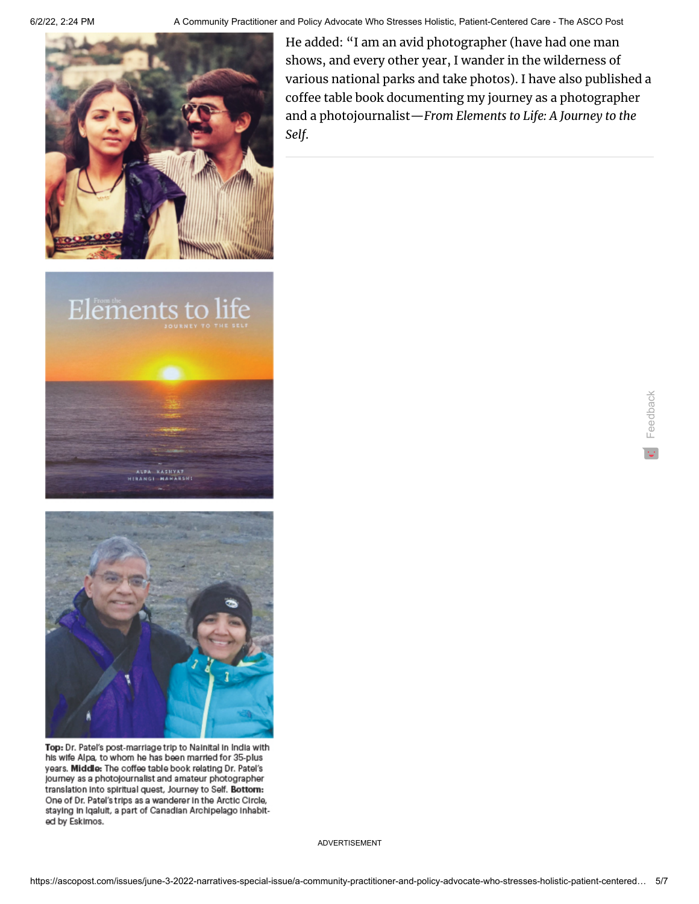

6/2/22, 2:24 PM A Community Practitioner and Policy Advocate Who Stresses Holistic, Patient-Centered Care - The ASCO Post

He added: "I am an avid photographer (have had one man shows, and every other year, I wander in the wilderness of various national parks and take photos). I have also published a coffee table book documenting my journey as a photographer and a photojournalist—*From Elements to Life: A Journey to the Self*.

Feedback





Top: Dr. Patel's post-marriage trip to Nainital in India with his wife Alpa, to whom he has been married for 35-plus years. Middle: The coffee table book relating Dr. Patel's journey as a photojournalist and amateur photographer translation into spiritual quest, Journey to Self. Bottom: One of Dr. Patel's trips as a wanderer in the Arctic Circle, staying in Iqaluit, a part of Canadian Archipelago inhabited by EskImos.

ADVERTISEMENT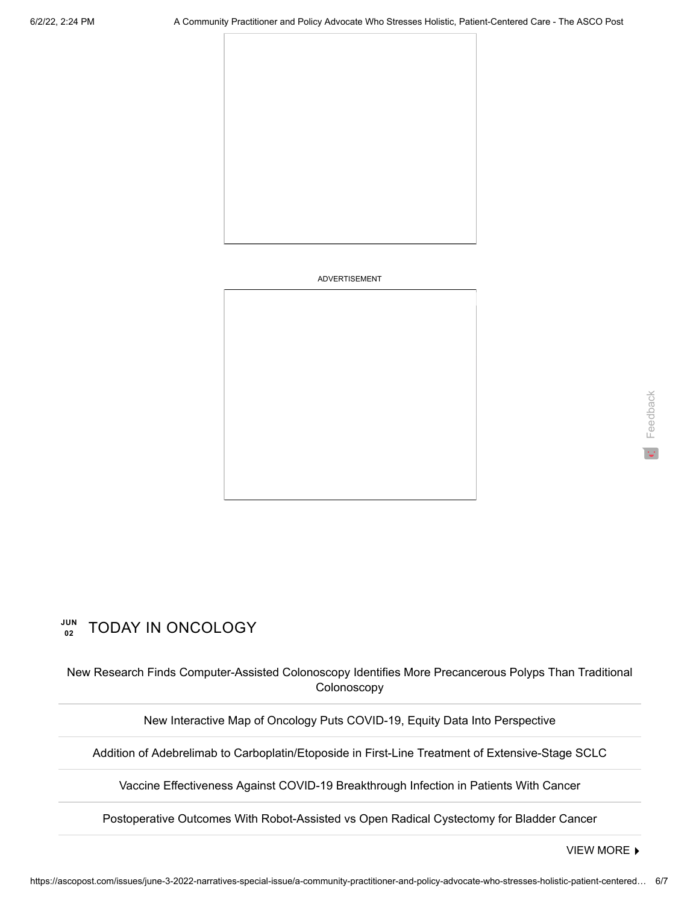

#### ADVERTISEMENT

# Feedback

#### **JUN 02** TODAY IN ONCOLOGY

[New Research Finds Computer-Assisted Colonoscopy Identifies More Precancerous Polyps Than Traditional](https://ascopost.com/news/june-2022/new-research-finds-computer-assisted-colonoscopy-identifies-more-precancerous-polyps-than-traditional-colonoscopy/) Colonoscopy

[New Interactive Map of Oncology Puts COVID-19, Equity Data Into Perspective](https://ascopost.com/news/june-2022/new-interactive-map-of-oncology-puts-covid-19-equity-data-into-perspective/)

[Addition of Adebrelimab to Carboplatin/Etoposide in First-Line Treatment of Extensive-Stage SCLC](https://ascopost.com/news/june-2022/addition-of-adebrelimab-to-carboplatinetoposide-in-first-line-treatment-of-extensive-stage-sclc/)

[Vaccine Effectiveness Against COVID-19 Breakthrough Infection in Patients With Cancer](https://ascopost.com/news/june-2022/vaccine-effectiveness-against-covid-19-breakthrough-infection-in-patients-with-cancer/)

[Postoperative Outcomes With Robot-Assisted vs Open Radical Cystectomy for Bladder Cancer](https://ascopost.com/news/june-2022/postoperative-outcomes-with-robot-assisted-vs-open-radical-cystectomy-for-bladder-cancer/)

[VIEW MORE](https://ascopost.com/News/)  $\blacktriangleright$